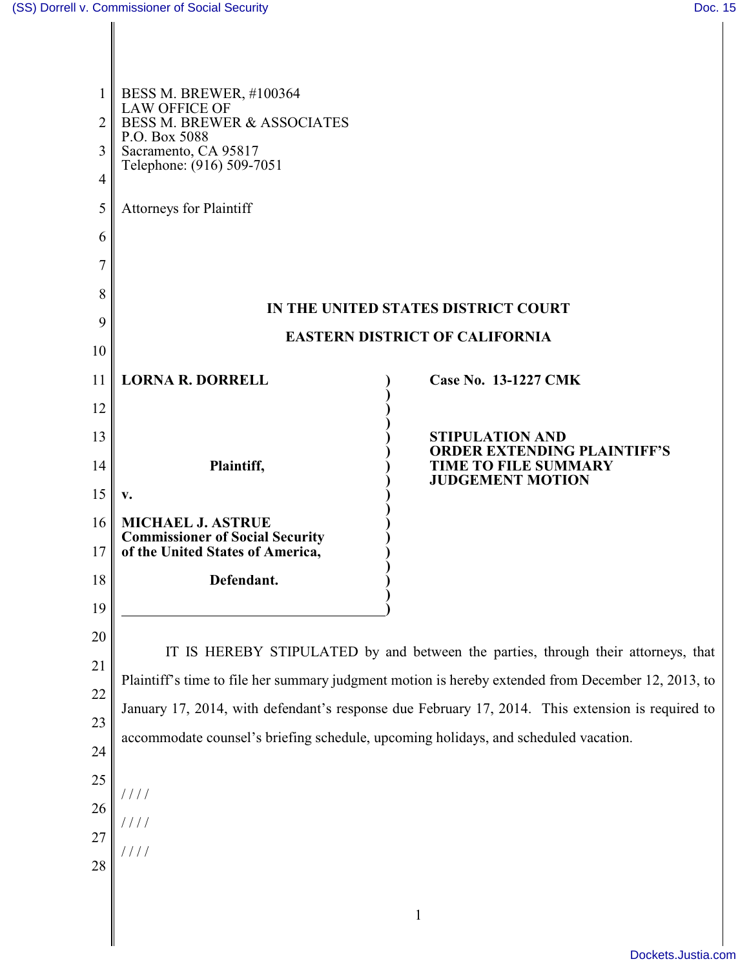|                | <b>BESS M. BREWER, #100364</b>                                                                     |                                                              |  |
|----------------|----------------------------------------------------------------------------------------------------|--------------------------------------------------------------|--|
| $\overline{2}$ | <b>LAW OFFICE OF</b><br><b>BESS M. BREWER &amp; ASSOCIATES</b>                                     |                                                              |  |
| 3              | P.O. Box 5088<br>Sacramento, CA 95817                                                              |                                                              |  |
| 4              | Telephone: (916) 509-7051                                                                          |                                                              |  |
| 5              | <b>Attorneys for Plaintiff</b>                                                                     |                                                              |  |
| 6              |                                                                                                    |                                                              |  |
| 7              |                                                                                                    |                                                              |  |
| 8              | IN THE UNITED STATES DISTRICT COURT                                                                |                                                              |  |
| 9              | <b>EASTERN DISTRICT OF CALIFORNIA</b>                                                              |                                                              |  |
| 10             |                                                                                                    |                                                              |  |
| 11             | <b>LORNA R. DORRELL</b>                                                                            | <b>Case No. 13-1227 CMK</b>                                  |  |
| 12             |                                                                                                    |                                                              |  |
| 13             |                                                                                                    | <b>STIPULATION AND</b><br><b>ORDER EXTENDING PLAINTIFF'S</b> |  |
| 14             | Plaintiff,                                                                                         | <b>TIME TO FILE SUMMARY</b><br><b>JUDGEMENT MOTION</b>       |  |
| 15             | V.                                                                                                 |                                                              |  |
| 16             | <b>MICHAEL J. ASTRUE</b><br><b>Commissioner of Social Security</b>                                 |                                                              |  |
| 17             | of the United States of America,                                                                   |                                                              |  |
| 18             | Defendant.                                                                                         |                                                              |  |
| 19             |                                                                                                    |                                                              |  |
| 20             | IT IS HEREBY STIPULATED by and between the parties, through their attorneys, that                  |                                                              |  |
| 21             | Plaintiff's time to file her summary judgment motion is hereby extended from December 12, 2013, to |                                                              |  |
| 22             | January 17, 2014, with defendant's response due February 17, 2014. This extension is required to   |                                                              |  |
| 23             | accommodate counsel's briefing schedule, upcoming holidays, and scheduled vacation.                |                                                              |  |
| 24             |                                                                                                    |                                                              |  |
| 25             | $\frac{1}{2}$                                                                                      |                                                              |  |
| 26             |                                                                                                    |                                                              |  |
| 27             |                                                                                                    |                                                              |  |
| 28             |                                                                                                    |                                                              |  |